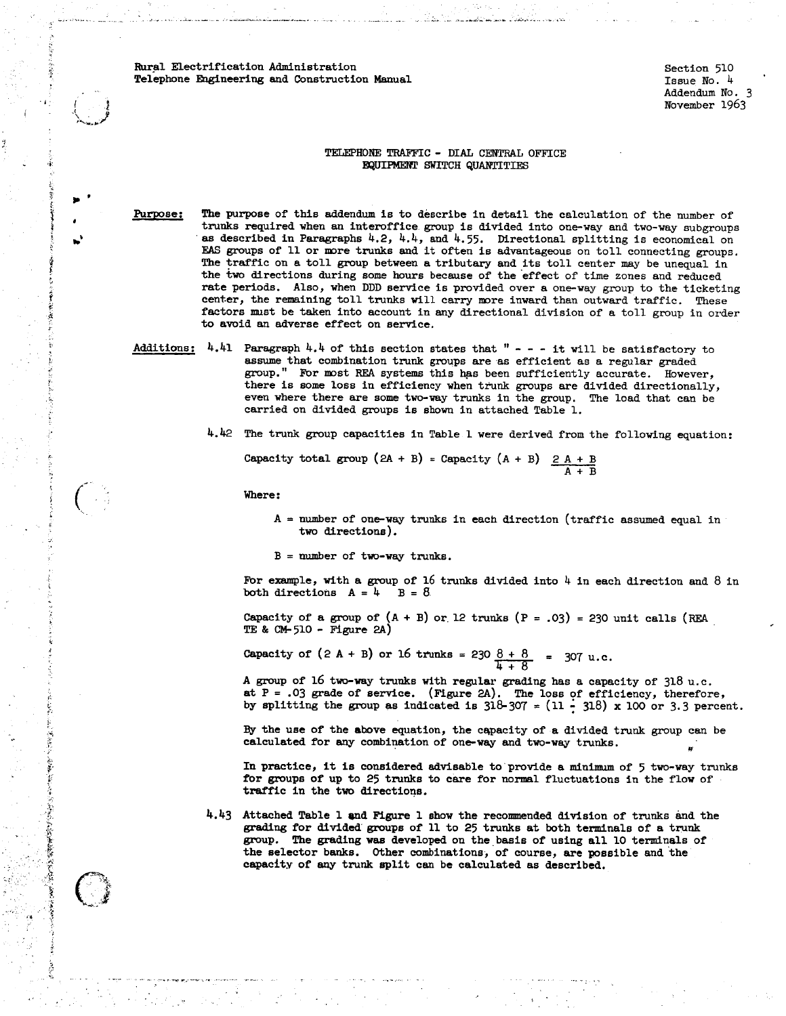t ! i e. f r. f j;

Ť

,.

.....

.-:.\_

-•, f

不可以不可能不可能 的复数人名英格兰人姓氏伊斯特

*Pt.* 

.·.' ...

Note the interaction of the strengthenial control of the strengthenial control of the strengthenial control of the strengthenial control of the strengthenial control of the strengthenial control of the strengthenial contr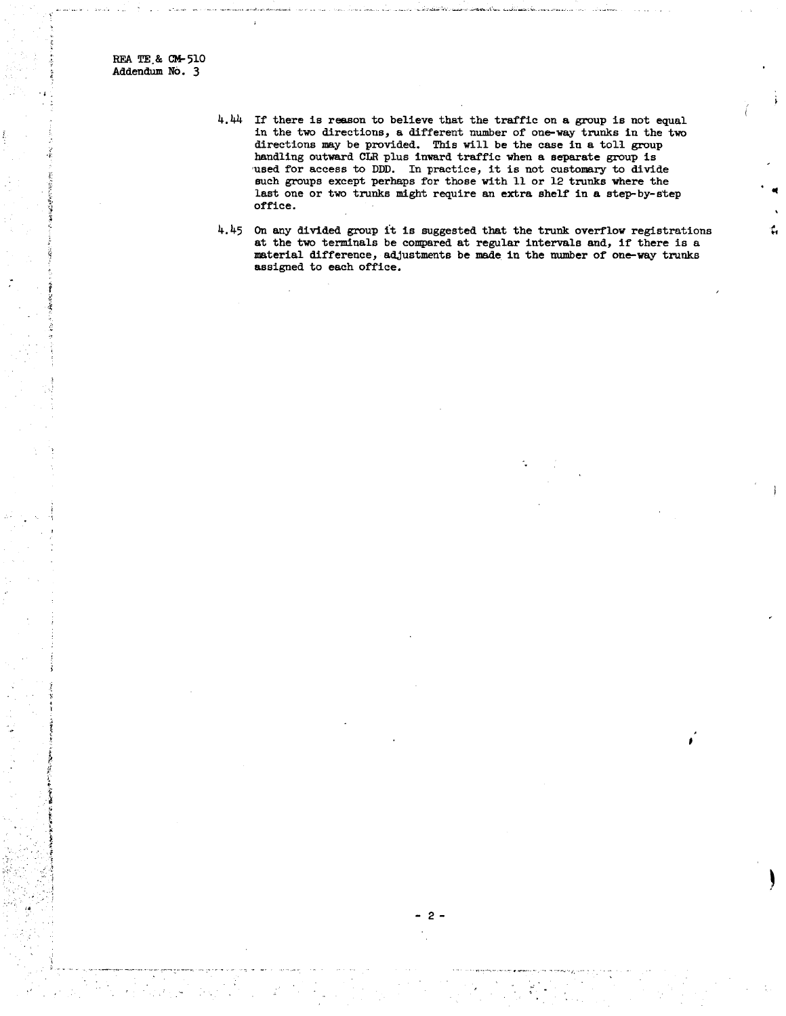REA TE.& CM-510 Addendum NO. 3

.,

- 4.44 If there is reason to believe that the traffic on a group is not equal in the two directions, a different number of one-way trunks in the two directions may be provided. This will be the case in a toll group handling outward CLR plus inward traffic when a separate group is Thus and the contract of the customary of divide such groups except perhaps for those with 11 or 12 trunks where the last one or two trunks might require an extra shelf in a step-by-step office.
- 4.45 On any divided group it is suggested that the trunk overflow registrations at the two terminals be compared at regular intervals and, if there is a material difference, adjustments be made in the number of one-way trunks assigned to each office.

 $\epsilon$ 

 $\blacktriangleright$ 

2-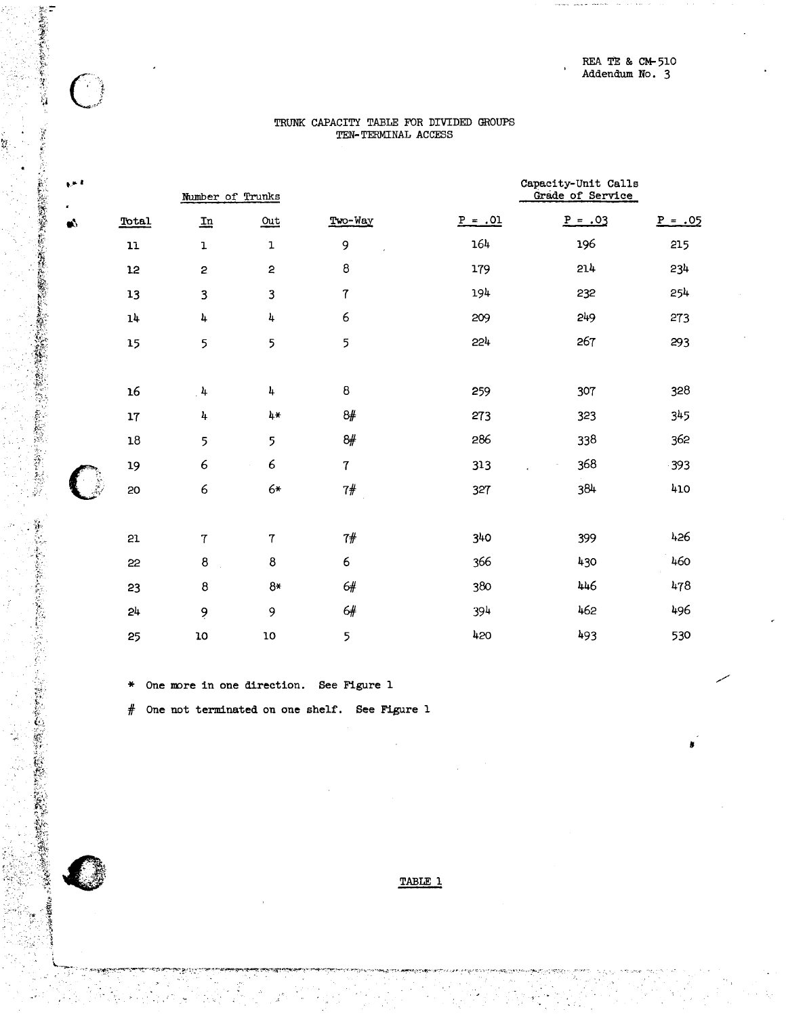## TRUNK CAPACITY TABLE FOR DIVIDED GROUPS TEN-TERMINAL ACCESS

| $\mathbf{r}$ |                | Number of Trunks        |                |                | Capacity-Unit Calls<br>Grade of Service |           |           |
|--------------|----------------|-------------------------|----------------|----------------|-----------------------------------------|-----------|-----------|
| s.<br>Ø.     | Total          | $\mathbf{u}$            | $Out$          | Two-Way        | $P = .01$                               | $P = .03$ | $P = .05$ |
|              | ${\bf 11}$     | $\mathbf 1$             | $\mathbf 1$    | 9              | 164                                     | 196       | 215       |
|              | 12             | $\overline{\mathbf{c}}$ | $\mathbf{c}$   | 8              | 179                                     | 214       | 234       |
|              | 13             | 3                       | 3              | $\overline{7}$ | 194                                     | 232       | 254       |
|              | 14             | 4                       | 4              | 6              | 209                                     | 249       | 273       |
|              | 15             | 5                       | 5              | 5              | 224                                     | 267       | 293       |
|              | 16             | $4 \frac{1}{2}$         | 4              | 8              | 259                                     | 307       | 328       |
|              | 17             | 4                       | 4*             | 8#             | 273                                     | 323       | 345       |
|              | $18\,$         | 5                       | 5              | 8#             | 286                                     | 338       | 362       |
|              | 19             | $\epsilon$              | 6              | $\overline{7}$ | 313                                     | 368       | $-393$    |
|              | 20             | 6                       | $6*$           | 7#             | 327                                     | 384       | 410       |
|              | 21             | $\overline{7}$          | $\overline{7}$ | $7\#$          | 340                                     | 399       | 426       |
|              | 22             | $\bf 8$                 | $\bf8$         | 6              | 366                                     | 430       | 460       |
|              | 23             | $\bf8$                  | $8*$           | 6#             | 380                                     | 446       | 478       |
|              | 2 <sup>h</sup> | 9                       | 9              | $6\#$          | 394                                     | 462       | 496       |
|              | 25             | 10                      | 10             | 5              | 420                                     | 493       | 530       |

One more in one direction. See Figure 1

「大きいののからのある」という「あいのか」という「あいのか」という「あいのか」という「あいのか」という「あいのか」

不定的

 $\bigcap$ 

 $\mathbf{R}^{\mathcal{A}}$ 

One not terminated on one shelf. See Figure 1 #

TABLE 1